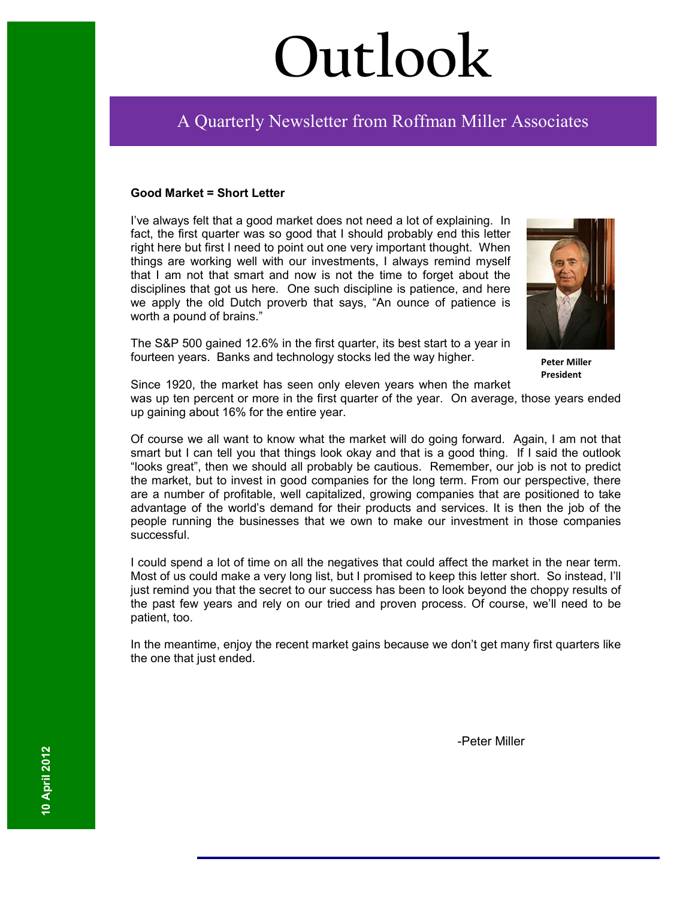# **Outlook**

## Ī A Quarterly Newsletter from Roffman Miller Associates

#### **Good Market = Short Letter**

I've always felt that a good market does not need a lot of explaining. In fact, the first quarter was so good that I should probably end this letter right here but first I need to point out one very important thought. When things are working well with our investments, I always remind myself that I am not that smart and now is not the time to forget about the disciplines that got us here. One such discipline is patience, and here we apply the old Dutch proverb that says, "An ounce of patience is worth a pound of brains."



**Peter Miller President**

The S&P 500 gained 12.6% in the first quarter, its best start to a year in fourteen years. Banks and technology stocks led the way higher.

Since 1920, the market has seen only eleven years when the market

was up ten percent or more in the first quarter of the year. On average, those years ended up gaining about 16% for the entire year.

Of course we all want to know what the market will do going forward. Again, I am not that smart but I can tell you that things look okay and that is a good thing. If I said the outlook "looks great", then we should all probably be cautious. Remember, our job is not to predict the market, but to invest in good companies for the long term. From our perspective, there are a number of profitable, well capitalized, growing companies that are positioned to take advantage of the world's demand for their products and services. It is then the job of the people running the businesses that we own to make our investment in those companies successful.

I could spend a lot of time on all the negatives that could affect the market in the near term. Most of us could make a very long list, but I promised to keep this letter short. So instead, I'll just remind you that the secret to our success has been to look beyond the choppy results of the past few years and rely on our tried and proven process. Of course, we'll need to be patient, too.

In the meantime, enjoy the recent market gains because we don't get many first quarters like the one that just ended.

-Peter Miller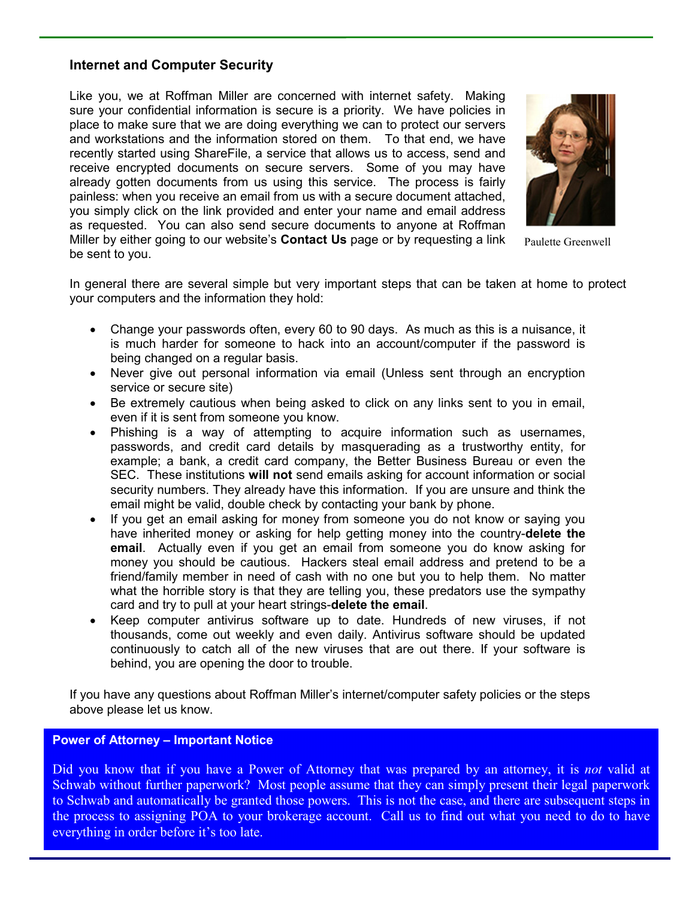#### **Internet and Computer Security**

Like you, we at Roffman Miller are concerned with internet safety. Making sure your confidential information is secure is a priority. We have policies in place to make sure that we are doing everything we can to protect our servers and workstations and the information stored on them. To that end, we have recently started using ShareFile, a service that allows us to access, send and receive encrypted documents on secure servers. Some of you may have already gotten documents from us using this service. The process is fairly painless: when you receive an email from us with a secure document attached, you simply click on the link provided and enter your name and email address as requested. You can also send secure documents to anyone at Roffman Miller by either going to our website's **Contact Us** page or by requesting a link be sent to you.



Paulette Greenwell

In general there are several simple but very important steps that can be taken at home to protect your computers and the information they hold:

- Change your passwords often, every 60 to 90 days. As much as this is a nuisance, it is much harder for someone to hack into an account/computer if the password is being changed on a regular basis.
- Never give out personal information via email (Unless sent through an encryption service or secure site)
- Be extremely cautious when being asked to click on any links sent to you in email, even if it is sent from someone you know.
- Phishing is a way of attempting to acquire information such as usernames, passwords, and credit card details by masquerading as a trustworthy entity, for example; a bank, a credit card company, the Better Business Bureau or even the SEC. These institutions **will not** send emails asking for account information or social security numbers. They already have this information. If you are unsure and think the email might be valid, double check by contacting your bank by phone.
- If you get an email asking for money from someone you do not know or saying you have inherited money or asking for help getting money into the country-**delete the email**. Actually even if you get an email from someone you do know asking for money you should be cautious. Hackers steal email address and pretend to be a friend/family member in need of cash with no one but you to help them. No matter what the horrible story is that they are telling you, these predators use the sympathy card and try to pull at your heart strings-**delete the email**.
- Keep computer antivirus software up to date. Hundreds of new viruses, if not thousands, come out weekly and even daily. Antivirus software should be updated continuously to catch all of the new viruses that are out there. If your software is behind, you are opening the door to trouble.

If you have any questions about Roffman Miller's internet/computer safety policies or the steps above please let us know.

#### **Power of Attorney – Important Notice**

Did you know that if you have a Power of Attorney that was prepared by an attorney, it is *not* valid at Schwab without further paperwork? Most people assume that they can simply present their legal paperwork to Schwab and automatically be granted those powers. This is not the case, and there are subsequent steps in the process to assigning POA to your brokerage account. Call us to find out what you need to do to have everything in order before it's too late.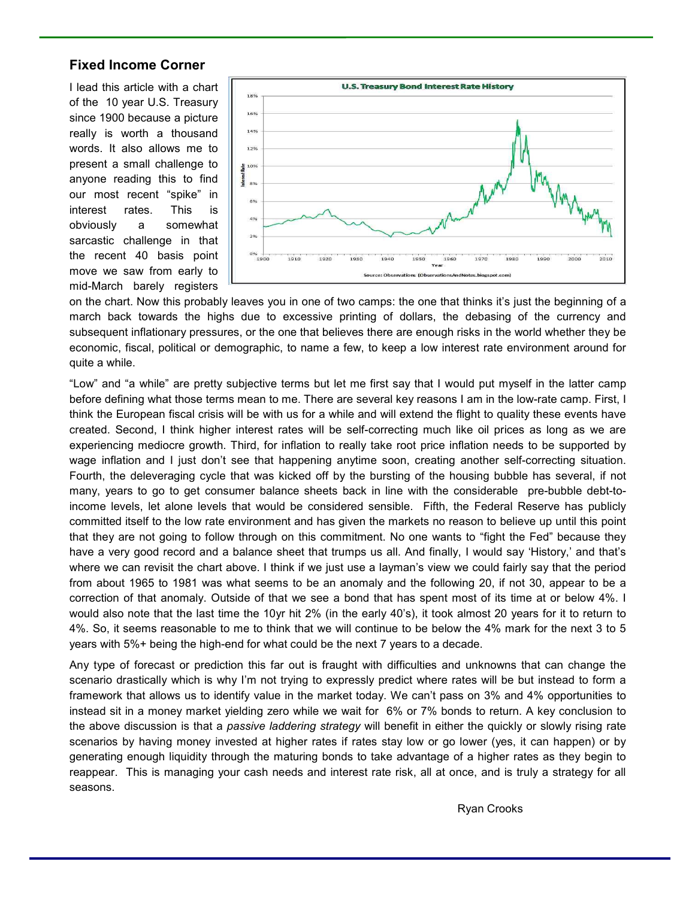#### **Fixed Income Corner**

I lead this article with a chart of the 10 year U.S. Treasury since 1900 because a picture really is worth a thousand words. It also allows me to present a small challenge to anyone reading this to find our most recent "spike" in interest rates. This is obviously a somewhat sarcastic challenge in that the recent 40 basis point move we saw from early to mid-March barely registers



on the chart. Now this probably leaves you in one of two camps: the one that thinks it's just the beginning of a march back towards the highs due to excessive printing of dollars, the debasing of the currency and subsequent inflationary pressures, or the one that believes there are enough risks in the world whether they be economic, fiscal, political or demographic, to name a few, to keep a low interest rate environment around for quite a while.

"Low" and "a while" are pretty subjective terms but let me first say that I would put myself in the latter camp before defining what those terms mean to me. There are several key reasons I am in the low-rate camp. First, I think the European fiscal crisis will be with us for a while and will extend the flight to quality these events have created. Second, I think higher interest rates will be self-correcting much like oil prices as long as we are experiencing mediocre growth. Third, for inflation to really take root price inflation needs to be supported by wage inflation and I just don't see that happening anytime soon, creating another self-correcting situation. Fourth, the deleveraging cycle that was kicked off by the bursting of the housing bubble has several, if not many, years to go to get consumer balance sheets back in line with the considerable pre-bubble debt-toincome levels, let alone levels that would be considered sensible. Fifth, the Federal Reserve has publicly committed itself to the low rate environment and has given the markets no reason to believe up until this point that they are not going to follow through on this commitment. No one wants to "fight the Fed" because they have a very good record and a balance sheet that trumps us all. And finally, I would say 'History,' and that's where we can revisit the chart above. I think if we just use a layman's view we could fairly say that the period from about 1965 to 1981 was what seems to be an anomaly and the following 20, if not 30, appear to be a correction of that anomaly. Outside of that we see a bond that has spent most of its time at or below 4%. I would also note that the last time the 10yr hit 2% (in the early 40's), it took almost 20 years for it to return to 4%. So, it seems reasonable to me to think that we will continue to be below the 4% mark for the next 3 to 5 years with 5%+ being the high-end for what could be the next 7 years to a decade.

Any type of forecast or prediction this far out is fraught with difficulties and unknowns that can change the scenario drastically which is why I'm not trying to expressly predict where rates will be but instead to form a framework that allows us to identify value in the market today. We can't pass on 3% and 4% opportunities to instead sit in a money market yielding zero while we wait for 6% or 7% bonds to return. A key conclusion to the above discussion is that a *passive laddering strategy* will benefit in either the quickly or slowly rising rate scenarios by having money invested at higher rates if rates stay low or go lower (yes, it can happen) or by generating enough liquidity through the maturing bonds to take advantage of a higher rates as they begin to reappear. This is managing your cash needs and interest rate risk, all at once, and is truly a strategy for all seasons.

Ryan Crooks